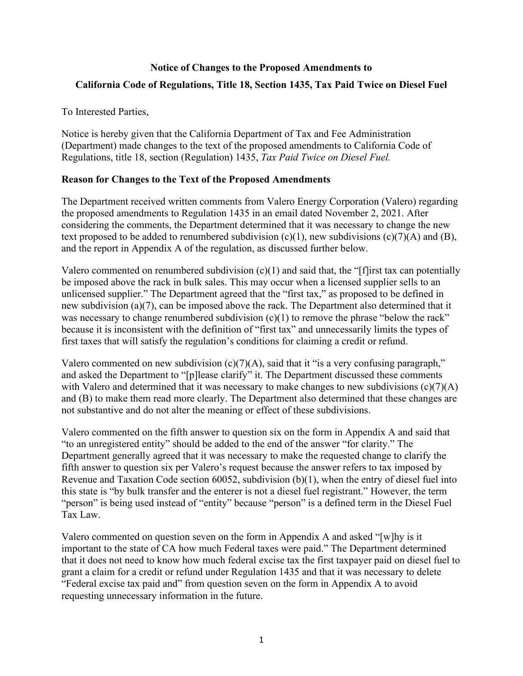# **Notice of Changes to the Proposed Amendments to California Code of Regulations, Title 18, Section 1435, Tax Paid Twice on Diesel Fuel**

#### To Interested Parties,

Notice is hereby given that the California Department of Tax and Fee Administration (Department) made changes to the text of the proposed amendments to California Code of Regulations, title 18, section (Regulation) 1435, *Tax Paid Twice on Diesel Fuel.*

## **Reason for Changes to the Text of the Proposed Amendments**

The Department received written comments from Valero Energy Corporation (Valero) regarding the proposed amendments to Regulation 1435 in an email dated November 2, 2021. After considering the comments, the Department determined that it was necessary to change the new text proposed to be added to renumbered subdivision  $(c)(1)$ , new subdivisions  $(c)(7)(A)$  and  $(B)$ , and the report in Appendix A of the regulation, as discussed further below.

Valero commented on renumbered subdivision  $(c)(1)$  and said that, the "[f]irst tax can potentially be imposed above the rack in bulk sales. This may occur when a licensed supplier sells to an unlicensed supplier." The Department agreed that the "first tax," as proposed to be defined in new subdivision (a)(7), can be imposed above the rack. The Department also determined that it was necessary to change renumbered subdivision  $(c)(1)$  to remove the phrase "below the rack" because it is inconsistent with the definition of "first tax" and unnecessarily limits the types of first taxes that will satisfy the regulation's conditions for claiming a credit or refund.

Valero commented on new subdivision  $(c)(7)(A)$ , said that it "is a very confusing paragraph," and asked the Department to "[p]lease clarify" it. The Department discussed these comments with Valero and determined that it was necessary to make changes to new subdivisions  $(c)(7)(A)$ and (B) to make them read more clearly. The Department also determined that these changes are not substantive and do not alter the meaning or effect of these subdivisions.

Valero commented on the fifth answer to question six on the form in Appendix A and said that "to an unregistered entity" should be added to the end of the answer "for clarity." The Department generally agreed that it was necessary to make the requested change to clarify the fifth answer to question six per Valero's request because the answer refers to tax imposed by Revenue and Taxation Code section 60052, subdivision (b)(1), when the entry of diesel fuel into this state is "by bulk transfer and the enterer is not a diesel fuel registrant." However, the term "person" is being used instead of "entity" because "person" is a defined term in the Diesel Fuel Tax Law.

Valero commented on question seven on the form in Appendix A and asked "[w]hy is it important to the state of CA how much Federal taxes were paid." The Department determined that it does not need to know how much federal excise tax the first taxpayer paid on diesel fuel to grant a claim for a credit or refund under Regulation 1435 and that it was necessary to delete "Federal excise tax paid and" from question seven on the form in Appendix A to avoid requesting unnecessary information in the future.